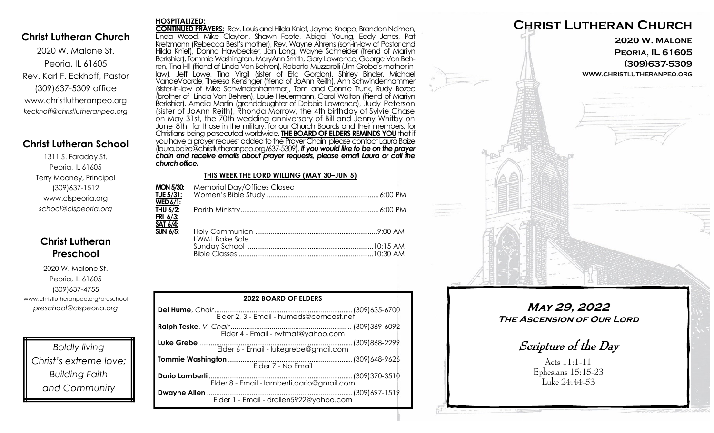### **Christ Lutheran Church**

2020 W. Malone St. Peoria, IL 61605 Rev. Karl F. Eckhoff, Pastor (309)637-5309 office www.christlutheranpeo.org *keckhoff@christlutheranpeo.org*

## **Christ Lutheran School**

1311 S. Faraday St. Peoria, IL 61605 Terry Mooney, Principal (309)637-1512 www.clspeoria.org *school@clspeoria.org*

# **Christ Lutheran Preschool**

2020 W. Malone St. Peoria, IL 61605 (309)637-4755 www.christlutheranpeo.org/preschool *preschool@clspeoria.org*

*Boldly living Christ's extreme love; Building Faith and Community*

#### **HOSPITALIZED:**

**CONTINUED PRAYERS:** Rev. Louis and Hilda Knief, Jayme Knapp, Brandon Neiman, Linda Wood, Mike Clayton, Shawn Foote, Abigail Young, Eddy Jones, Pat Kretzmann (Rebecca Best's mother), Rev. Wayne Ahrens (son-in-law of Pastor and Hilda Knief), Donna Hawbecker, Jan Long, Wayne Schneider (friend of Marilyn Berkshier), Tommie Washington, MaryAnn Smith, Gary Lawrence, George Von Behren, Tina Hill (friend of Linda Von Behren), Roberta Muzzarelli (Jim Grebe's mother-inlaw), Jeff Lowe, Tina Virgil (sister of Eric Gordon), Shirley Binder, Michael VandeVoorde, Theresa Kensinger (friend of JoAnn Reith), Ann Schwindenhammer (sister-in-law of Mike Schwindenhammer), Tom and Connie Trunk, Rudy Bozec (brother of Linda Von Behren), Louie Heuermann, Carol Walton (friend of Marilyn Berkshier), Amelia Martin (granddaughter of Debbie Lawrence), Judy Peterson (sister of JoAnn Reith), Rhonda Morrow, the 4th birthday of Sylvie Chase on May 31st, the 70th wedding anniversary of Bill and Jenny Whitby on June 8th, for those in the military, for our Church Boards and their members, for Christians being persecuted worldwide. **THE BOARD OF ELDERS REMINDS YOU** that if you have a prayer request added to the Prayer Chain, please contact Laura Baize (laura.baize@christlutheranpeo.org/637-5309). *If you would like to be on the prayer chain and receive emails about prayer requests, please email Laura or call the church office.*

#### **THIS WEEK THE LORD WILLING (MAY 30–JUN 5)**

| <b>Memorial Day/Offices Closed</b> |                       |
|------------------------------------|-----------------------|
|                                    |                       |
|                                    |                       |
|                                    |                       |
|                                    |                       |
|                                    |                       |
|                                    |                       |
|                                    |                       |
|                                    |                       |
|                                    |                       |
|                                    | <b>LWML Bake Sale</b> |

| <b>2022 BOARD OF ELDERS</b> |  |  |
|-----------------------------|--|--|
|                             |  |  |
|                             |  |  |
|                             |  |  |
| Elder 7 - No Email          |  |  |
|                             |  |  |
|                             |  |  |



**May 29, 2022 The Ascension of Our Lord**

Scripture of the Day

Acts 11:1-11 Ephesians 15:15-23 Luke 24:44-53